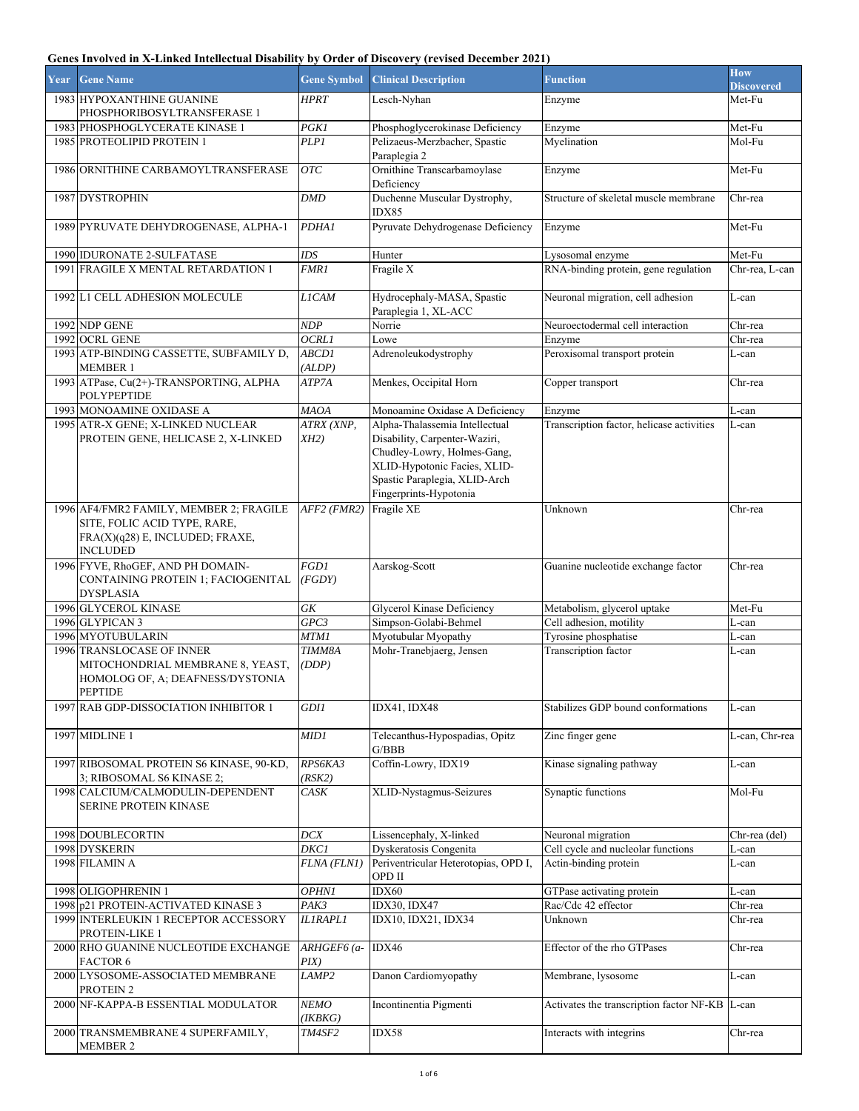## **Genes Involved in X-Linked Intellectual Disability by Order of Discovery (revised December 2021)**

| Year | <b>Gene Name</b>                                                                                             | <b>Gene Symbol</b>     | <b>Clinical Description</b>                                                                    | <b>Function</b>                           | <b>How</b><br><b>Discovered</b> |
|------|--------------------------------------------------------------------------------------------------------------|------------------------|------------------------------------------------------------------------------------------------|-------------------------------------------|---------------------------------|
|      | 1983 HYPOXANTHINE GUANINE<br>PHOSPHORIBOSYLTRANSFERASE 1                                                     | HPRT                   | Lesch-Nyhan                                                                                    | Enzyme                                    | Met-Fu                          |
|      | 1983 PHOSPHOGLYCERATE KINASE 1                                                                               | <b>PGK1</b>            | Phosphoglycerokinase Deficiency                                                                | Enzyme                                    | Met-Fu                          |
|      | 1985 PROTEOLIPID PROTEIN 1                                                                                   | <b>PLP1</b>            | Pelizaeus-Merzbacher, Spastic<br>Paraplegia 2                                                  | Myelination                               | Mol-Fu                          |
|      | 1986 ORNITHINE CARBAMOYLTRANSFERASE                                                                          | <b>OTC</b>             | Ornithine Transcarbamoylase<br>Deficiency                                                      | Enzyme                                    | Met-Fu                          |
|      | 1987 DYSTROPHIN                                                                                              | <b>DMD</b>             | Duchenne Muscular Dystrophy,<br>IDX85                                                          | Structure of skeletal muscle membrane     | Chr-rea                         |
|      | 1989 PYRUVATE DEHYDROGENASE, ALPHA-1                                                                         | <b>PDHA1</b>           | Pyruvate Dehydrogenase Deficiency                                                              | Enzyme                                    | Met-Fu                          |
|      | 1990 IDURONATE 2-SULFATASE                                                                                   | IDS                    | Hunter                                                                                         | Lysosomal enzyme                          | Met-Fu                          |
|      | 1991 FRAGILE X MENTAL RETARDATION 1                                                                          | <b>FMR1</b>            | Fragile X                                                                                      | RNA-binding protein, gene regulation      | Chr-rea, L-can                  |
|      | 1992 L1 CELL ADHESION MOLECULE                                                                               | <b>LICAM</b>           | Hydrocephaly-MASA, Spastic<br>Paraplegia 1, XL-ACC                                             | Neuronal migration, cell adhesion         | L-can                           |
|      | 1992 NDP GENE                                                                                                | <b>NDP</b>             | Norrie                                                                                         | Neuroectodermal cell interaction          | Chr-rea                         |
|      | 1992 OCRL GENE                                                                                               | OCRLI                  | Lowe                                                                                           | Enzyme                                    | Chr-rea                         |
|      | 1993 ATP-BINDING CASSETTE, SUBFAMILY D,<br><b>MEMBER 1</b>                                                   | <b>ABCD1</b><br>(ALDP) | Adrenoleukodystrophy                                                                           | Peroxisomal transport protein             | L-can                           |
|      | 1993 ATPase, Cu(2+)-TRANSPORTING, ALPHA<br><b>POLYPEPTIDE</b>                                                | ATP7A                  | Menkes, Occipital Horn                                                                         | Copper transport                          | Chr-rea                         |
|      | 1993 MONOAMINE OXIDASE A                                                                                     | <b>MAOA</b>            | Monoamine Oxidase A Deficiency                                                                 | Enzyme                                    | L-can                           |
|      | 1995 ATR-X GENE; X-LINKED NUCLEAR<br>PROTEIN GENE, HELICASE 2, X-LINKED                                      | ATRX (XNP,<br>$XH2$ )  | Alpha-Thalassemia Intellectual<br>Disability, Carpenter-Waziri,<br>Chudley-Lowry, Holmes-Gang, | Transcription factor, helicase activities | L-can                           |
|      |                                                                                                              |                        | XLID-Hypotonic Facies, XLID-<br>Spastic Paraplegia, XLID-Arch<br>Fingerprints-Hypotonia        |                                           |                                 |
|      | 1996 AF4/FMR2 FAMILY, MEMBER 2; FRAGILE                                                                      | AFF2 (FMR2)            | Fragile XE                                                                                     | Unknown                                   | Chr-rea                         |
|      | SITE, FOLIC ACID TYPE, RARE,<br>FRA(X)(q28) E, INCLUDED; FRAXE,<br><b>INCLUDED</b>                           |                        |                                                                                                |                                           |                                 |
|      | 1996 FYVE, RhoGEF, AND PH DOMAIN-<br>CONTAINING PROTEIN 1; FACIOGENITAL<br><b>DYSPLASIA</b>                  | FGDI<br>(FGDY)         | Aarskog-Scott                                                                                  | Guanine nucleotide exchange factor        | $Chr$ -rea                      |
|      | 1996 GLYCEROL KINASE                                                                                         | GK                     | Glycerol Kinase Deficiency                                                                     | Metabolism, glycerol uptake               | Met-Fu                          |
|      | 1996 GLYPICAN 3                                                                                              | GPC3                   | Simpson-Golabi-Behmel                                                                          | Cell adhesion, motility                   | L-can                           |
|      | 1996 MYOTUBULARIN                                                                                            | <b>MTM1</b>            | Myotubular Myopathy                                                                            | Tyrosine phosphatise                      | L-can                           |
|      | 1996 TRANSLOCASE OF INNER<br>MITOCHONDRIAL MEMBRANE 8, YEAST,<br>HOMOLOG OF, A; DEAFNESS/DYSTONIA<br>PEPTIDE | TIMM8A<br>(DDP)        | Mohr-Tranebjaerg, Jensen                                                                       | Transcription factor                      | L-can                           |
|      | 1997 RAB GDP-DISSOCIATION INHIBITOR 1                                                                        | <b>GDI1</b>            | IDX41, IDX48                                                                                   | Stabilizes GDP bound conformations        | L-can                           |
|      | 1997 MIDLINE 1                                                                                               | MIDI                   | Telecanthus-Hypospadias, Opitz<br>G/BBB                                                        | Zinc finger gene                          | L-can, Chr-rea                  |
|      | 1997 RIBOSOMAL PROTEIN S6 KINASE, 90-KD,<br>3; RIBOSOMAL S6 KINASE 2;                                        | RPS6KA3<br>(RSK2)      | Coffin-Lowry, IDX19                                                                            | Kinase signaling pathway                  | L-can                           |
|      | 1998 CALCIUM/CALMODULIN-DEPENDENT<br>SERINE PROTEIN KINASE                                                   | CASK                   | XLID-Nystagmus-Seizures                                                                        | Synaptic functions                        | $Mol-Fu$                        |
|      | 1998 DOUBLECORTIN                                                                                            | DCX                    | Lissencephaly, X-linked                                                                        | Neuronal migration                        | Chr-rea (del)                   |
|      | 1998 DYSKERIN                                                                                                | $\overline{D}KCI$      | Dyskeratosis Congenita                                                                         | Cell cycle and nucleolar functions        | L-can                           |
|      | 1998 FILAMIN A                                                                                               | FLNA (FLN1)            | Periventricular Heterotopias, OPD I,<br>OPD II                                                 | Actin-binding protein                     | L-can                           |
|      | 1998 OLIGOPHRENIN 1                                                                                          | <b>OPHN1</b>           | IDX60                                                                                          | GTPase activating protein                 | L-can                           |
|      | 1998 p21 PROTEIN-ACTIVATED KINASE 3                                                                          | PAK3                   | <b>IDX30, IDX47</b>                                                                            | Rac/Cdc 42 effector                       | Chr-rea                         |
|      | 1999 INTERLEUKIN 1 RECEPTOR ACCESSORY<br>PROTEIN-LIKE 1                                                      | <b>ILIRAPLI</b>        | IDX10, IDX21, IDX34                                                                            | Unknown                                   | Chr-rea                         |
|      | 2000 RHO GUANINE NUCLEOTIDE EXCHANGE<br>FACTOR 6                                                             | ARHGEF6 (a-<br>$PIX$ ) | IDX46                                                                                          | Effector of the rho GTPases               | Chr-rea                         |
|      | 2000 LYSOSOME-ASSOCIATED MEMBRANE<br>PROTEIN <sub>2</sub>                                                    | LAMP <sub>2</sub>      | Danon Cardiomyopathy                                                                           | Membrane, lysosome                        | L-can                           |
|      | 2000 NF-KAPPA-B ESSENTIAL MODULATOR                                                                          | NEMO<br>(IKBKG)        | Incontinentia Pigmenti                                                                         | Activates the transcription factor NF-KB  | L-can                           |
|      | 2000 TRANSMEMBRANE 4 SUPERFAMILY,<br><b>MEMBER 2</b>                                                         | TM4SF2                 | IDX58                                                                                          | Interacts with integrins                  | Chr-rea                         |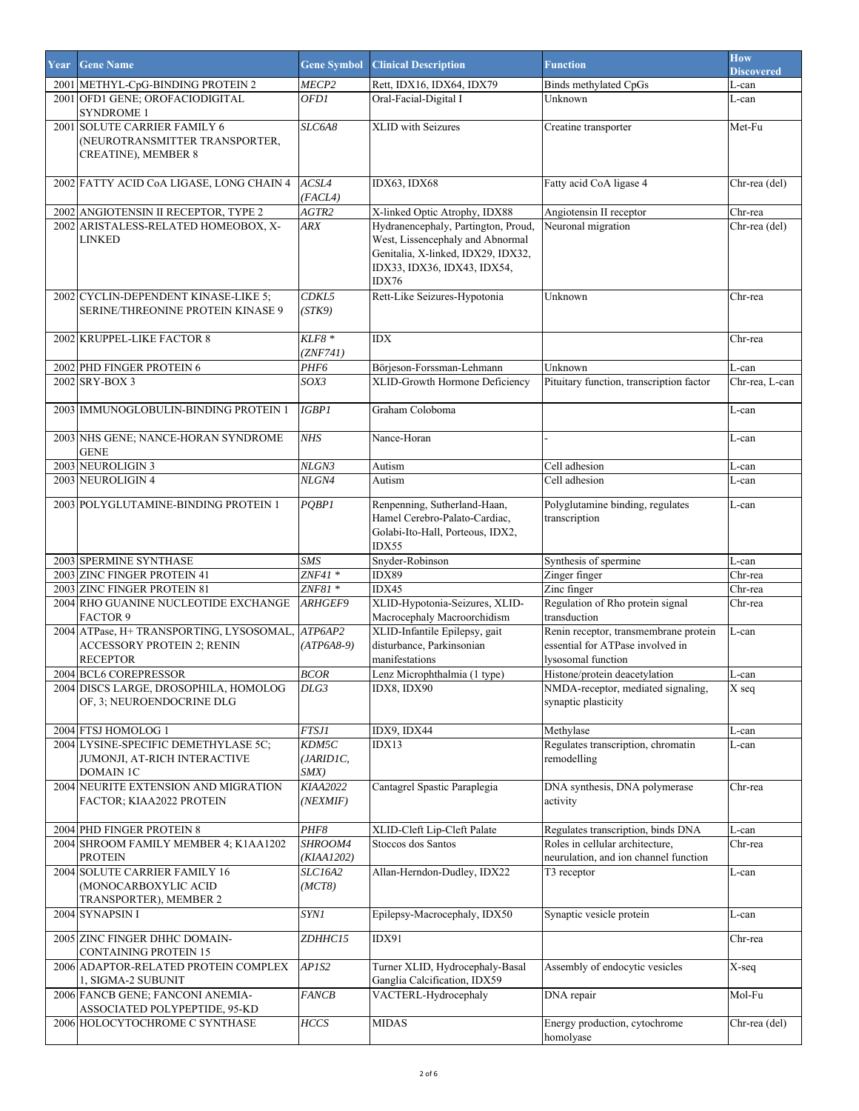| Year | <b>Gene Name</b>                                               | <b>Gene Symbol</b>  | <b>Clinical Description</b>                                            | <b>Function</b>                                     | <b>How</b><br><b>Discovered</b> |
|------|----------------------------------------------------------------|---------------------|------------------------------------------------------------------------|-----------------------------------------------------|---------------------------------|
|      | 2001 METHYL-CpG-BINDING PROTEIN 2                              | <i>MECP2</i>        | Rett, IDX16, IDX64, IDX79                                              | Binds methylated CpGs                               | L-can                           |
|      | 2001 OFD1 GENE: OROFACIODIGITAL                                | OFD1                | Oral-Facial-Digital I                                                  | Unknown                                             | L-can                           |
|      | <b>SYNDROME 1</b>                                              |                     |                                                                        |                                                     |                                 |
|      | 2001 SOLUTE CARRIER FAMILY 6                                   | SLC6A8              | XLID with Seizures                                                     | Creatine transporter                                | Met-Fu                          |
|      | (NEUROTRANSMITTER TRANSPORTER,                                 |                     |                                                                        |                                                     |                                 |
|      | CREATINE), MEMBER 8                                            |                     |                                                                        |                                                     |                                 |
|      |                                                                |                     |                                                                        |                                                     |                                 |
|      | 2002 FATTY ACID CoA LIGASE, LONG CHAIN 4                       | ACSL4               | IDX63, IDX68                                                           | Fatty acid CoA ligase 4                             | Chr-rea (del)                   |
|      |                                                                | (FACL4)             |                                                                        |                                                     |                                 |
|      | 2002 ANGIOTENSIN II RECEPTOR, TYPE 2                           | AGTR2               | X-linked Optic Atrophy, IDX88                                          | Angiotensin II receptor                             | Chr-rea                         |
|      | 2002 ARISTALESS-RELATED HOMEOBOX, X-                           | <b>ARX</b>          | Hydranencephaly, Partington, Proud,                                    | Neuronal migration                                  | Chr-rea (del)                   |
|      | <b>LINKED</b>                                                  |                     | West, Lissencephaly and Abnormal<br>Genitalia, X-linked, IDX29, IDX32, |                                                     |                                 |
|      |                                                                |                     | IDX33, IDX36, IDX43, IDX54,                                            |                                                     |                                 |
|      |                                                                |                     | IDX76                                                                  |                                                     |                                 |
|      | 2002 CYCLIN-DEPENDENT KINASE-LIKE 5;                           | CDKL5               | Rett-Like Seizures-Hypotonia                                           | Unknown                                             | Chr-rea                         |
|      | SERINE/THREONINE PROTEIN KINASE 9                              | (STK9)              |                                                                        |                                                     |                                 |
|      |                                                                |                     |                                                                        |                                                     |                                 |
|      | 2002 KRUPPEL-LIKE FACTOR 8                                     | $KLF8*$             | <b>IDX</b>                                                             |                                                     | Chr-rea                         |
|      |                                                                | (ZNF741)            |                                                                        |                                                     |                                 |
|      | 2002 PHD FINGER PROTEIN 6                                      | PHF6                | Börjeson-Forssman-Lehmann                                              | Unknown                                             | L-can                           |
|      | 2002 SRY-BOX 3                                                 | SOX3                | XLID-Growth Hormone Deficiency                                         | Pituitary function, transcription factor            | Chr-rea, L-can                  |
|      |                                                                |                     |                                                                        |                                                     |                                 |
|      | 2003 IMMUNOGLOBULIN-BINDING PROTEIN 1                          | <b>IGBP1</b>        | Graham Coloboma                                                        |                                                     | L-can                           |
|      |                                                                |                     |                                                                        |                                                     |                                 |
|      | 2003 NHS GENE; NANCE-HORAN SYNDROME                            | <b>NHS</b>          | Nance-Horan                                                            |                                                     | L-can                           |
|      | <b>GENE</b>                                                    |                     |                                                                        |                                                     |                                 |
|      | 2003 NEUROLIGIN 3                                              | NLGN3               | Autism                                                                 | Cell adhesion                                       | L-can                           |
|      | 2003 NEUROLIGIN 4                                              | NLGN4               | Autism                                                                 | Cell adhesion                                       | L-can                           |
|      | 2003 POLYGLUTAMINE-BINDING PROTEIN 1                           | PQBPI               | Renpenning, Sutherland-Haan,                                           | Polyglutamine binding, regulates                    | L-can                           |
|      |                                                                |                     | Hamel Cerebro-Palato-Cardiac,                                          | transcription                                       |                                 |
|      |                                                                |                     | Golabi-Ito-Hall, Porteous, IDX2,                                       |                                                     |                                 |
|      |                                                                |                     | IDX55                                                                  |                                                     |                                 |
|      | 2003 SPERMINE SYNTHASE                                         | <b>SMS</b>          | Snyder-Robinson                                                        | Synthesis of spermine                               | L-can                           |
|      | 2003 ZINC FINGER PROTEIN 41                                    | $ZNF41*$            | IDX89                                                                  | Zinger finger                                       | Chr-rea                         |
|      | 2003 ZINC FINGER PROTEIN 81                                    | $ZNF81$ *           | IDX45                                                                  | Zinc finger                                         | Chr-rea                         |
|      | 2004 RHO GUANINE NUCLEOTIDE EXCHANGE                           | ARHGEF9             | XLID-Hypotonia-Seizures, XLID-                                         | Regulation of Rho protein signal                    | Chr-rea                         |
|      | <b>FACTOR 9</b>                                                |                     | Macrocephaly Macroorchidism                                            | transduction                                        |                                 |
|      | 2004 ATPase, H+TRANSPORTING, LYSOSOMAL, ATP6AP2                |                     | XLID-Infantile Epilepsy, gait                                          | Renin receptor, transmembrane protein               | L-can                           |
|      | <b>ACCESSORY PROTEIN 2; RENIN</b><br><b>RECEPTOR</b>           | $(ATP6A8-9)$        | disturbance, Parkinsonian<br>manifestations                            | essential for ATPase involved in                    |                                 |
|      |                                                                |                     | Lenz Microphthalmia (1 type)                                           | lysosomal function<br>Histone/protein deacetylation |                                 |
|      | 2004 BCL6 COREPRESSOR<br>2004 DISCS LARGE, DROSOPHILA, HOMOLOG | <b>BCOR</b><br>DLG3 | IDX8, IDX90                                                            | NMDA-receptor, mediated signaling,                  | L-can<br>$\overline{X}$ seq     |
|      | OF, 3; NEUROENDOCRINE DLG                                      |                     |                                                                        | synaptic plasticity                                 |                                 |
|      |                                                                |                     |                                                                        |                                                     |                                 |
|      | 2004 FTSJ HOMOLOG 1                                            | FTSJI               | IDX9, IDX44                                                            | Methylase                                           | L-can                           |
|      | 2004 LYSINE-SPECIFIC DEMETHYLASE 5C;                           | KDM5C               | IDX13                                                                  | Regulates transcription, chromatin                  | L-can                           |
|      | JUMONJI, AT-RICH INTERACTIVE                                   | (JARIDIC,           |                                                                        | remodelling                                         |                                 |
|      | <b>DOMAIN 1C</b>                                               | $S$ <i>MX</i> $)$   |                                                                        |                                                     |                                 |
|      | 2004 NEURITE EXTENSION AND MIGRATION                           | <b>KIAA2022</b>     | Cantagrel Spastic Paraplegia                                           | DNA synthesis, DNA polymerase                       | Chr-rea                         |
|      | FACTOR; KIAA2022 PROTEIN                                       | (NEXMIF)            |                                                                        | activity                                            |                                 |
|      |                                                                |                     |                                                                        |                                                     |                                 |
|      | 2004 PHD FINGER PROTEIN 8                                      | PHF8                | XLID-Cleft Lip-Cleft Palate                                            | Regulates transcription, binds DNA                  | L-can                           |
|      | 2004 SHROOM FAMILY MEMBER 4; K1AA1202                          | SHROOM4             | Stoccos dos Santos                                                     | Roles in cellular architecture,                     | Chr-rea                         |
|      | <b>PROTEIN</b>                                                 | (KIAA1202)          |                                                                        | neurulation, and ion channel function               |                                 |
|      | 2004 SOLUTE CARRIER FAMILY 16                                  | SLC16A2             | Allan-Herndon-Dudley, IDX22                                            | T3 receptor                                         | L-can                           |
|      | (MONOCARBOXYLIC ACID                                           | (MCT8)              |                                                                        |                                                     |                                 |
|      | TRANSPORTER), MEMBER 2                                         |                     |                                                                        |                                                     |                                 |
|      | 2004 SYNAPSIN I                                                | <b>SYN1</b>         | Epilepsy-Macrocephaly, IDX50                                           | Synaptic vesicle protein                            | L-can                           |
|      | 2005 ZINC FINGER DHHC DOMAIN-                                  | ZDHHC15             | IDX91                                                                  |                                                     | Chr-rea                         |
|      | CONTAINING PROTEIN 15                                          |                     |                                                                        |                                                     |                                 |
|      | 2006 ADAPTOR-RELATED PROTEIN COMPLEX                           | APIS2               | Turner XLID, Hydrocephaly-Basal                                        | Assembly of endocytic vesicles                      | X-seq                           |
|      | 1, SIGMA-2 SUBUNIT                                             |                     | Ganglia Calcification, IDX59                                           |                                                     |                                 |
|      | 2006 FANCB GENE; FANCONI ANEMIA-                               | <b>FANCB</b>        | VACTERL-Hydrocephaly                                                   | DNA repair                                          | Mol-Fu                          |
|      | ASSOCIATED POLYPEPTIDE, 95-KD                                  |                     |                                                                        |                                                     |                                 |
|      | 2006 HOLOCYTOCHROME C SYNTHASE                                 | HCCS                | <b>MIDAS</b>                                                           | Energy production, cytochrome                       | Chr-rea (del)                   |
|      |                                                                |                     |                                                                        | homolyase                                           |                                 |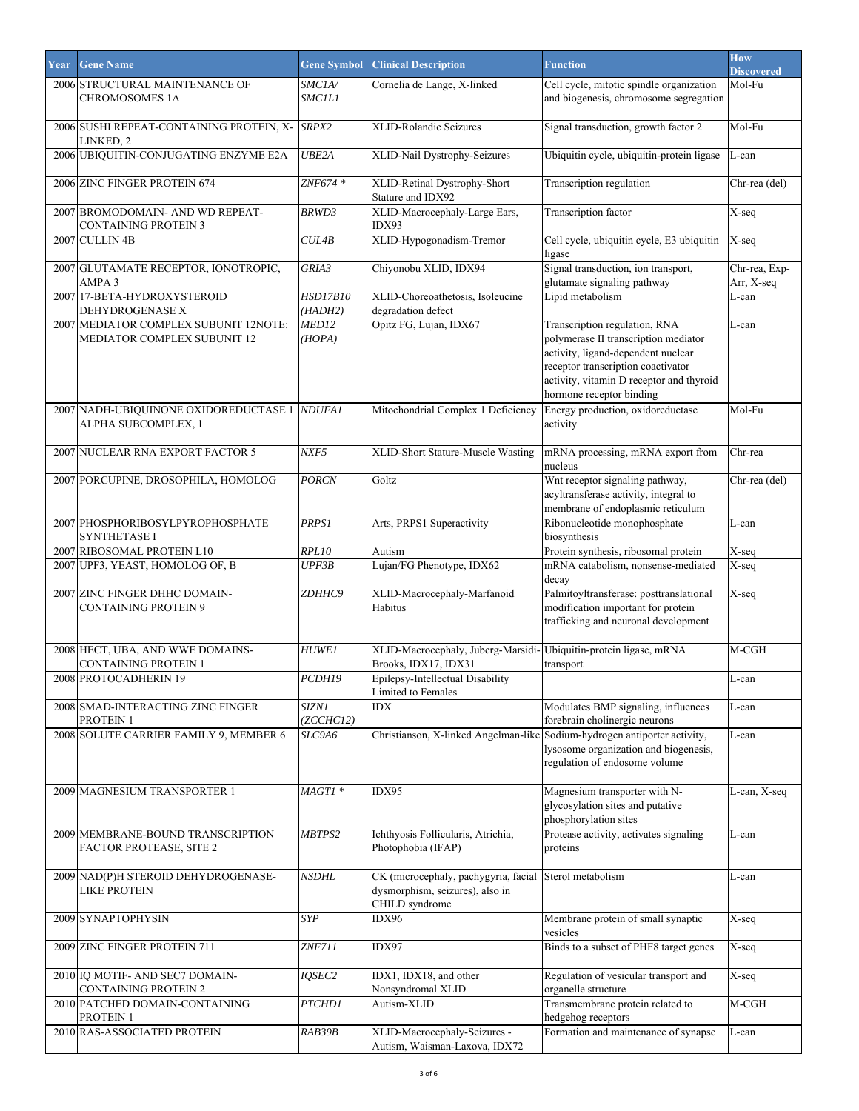| Year | <b>Gene Name</b>                                                     | <b>Gene Symbol</b>             | <b>Clinical Description</b>                                                               | <b>Function</b>                                                                                                                                                                                                           | <b>How</b><br><b>Discovered</b> |
|------|----------------------------------------------------------------------|--------------------------------|-------------------------------------------------------------------------------------------|---------------------------------------------------------------------------------------------------------------------------------------------------------------------------------------------------------------------------|---------------------------------|
|      | 2006 STRUCTURAL MAINTENANCE OF<br><b>CHROMOSOMES 1A</b>              | <i>SMCIA/</i><br><i>SMCILI</i> | Cornelia de Lange, X-linked                                                               | Cell cycle, mitotic spindle organization<br>and biogenesis, chromosome segregation                                                                                                                                        | Mol-Fu                          |
|      | 2006 SUSHI REPEAT-CONTAINING PROTEIN, X-<br>LINKED, 2                | SRPX2                          | XLID-Rolandic Seizures                                                                    | Signal transduction, growth factor 2                                                                                                                                                                                      | Mol-Fu                          |
|      | 2006 UBIQUITIN-CONJUGATING ENZYME E2A                                | UBE2A                          | XLID-Nail Dystrophy-Seizures                                                              | Ubiquitin cycle, ubiquitin-protein ligase                                                                                                                                                                                 | L-can                           |
|      | 2006 ZINC FINGER PROTEIN 674                                         | $ZNF674*$                      | XLID-Retinal Dystrophy-Short<br>Stature and IDX92                                         | Transcription regulation                                                                                                                                                                                                  | Chr-rea (del)                   |
|      | 2007 BROMODOMAIN- AND WD REPEAT-<br><b>CONTAINING PROTEIN 3</b>      | <b>BRWD3</b>                   | XLID-Macrocephaly-Large Ears,<br>IDX93                                                    | Transcription factor                                                                                                                                                                                                      | X-seq                           |
|      | 2007 CULLIN 4B                                                       | <b>CULAB</b>                   | XLID-Hypogonadism-Tremor                                                                  | Cell cycle, ubiquitin cycle, E3 ubiquitin<br>ligase                                                                                                                                                                       | X-seq                           |
|      | 2007 GLUTAMATE RECEPTOR, IONOTROPIC,<br>AMPA <sub>3</sub>            | GRIA3                          | Chiyonobu XLID, IDX94                                                                     | Signal transduction, ion transport,<br>glutamate signaling pathway                                                                                                                                                        | Chr-rea, Exp-<br>Arr, X-seq     |
|      | 2007 17-BETA-HYDROXYSTEROID<br>DEHYDROGENASE X                       | <b>HSD17B10</b><br>(HADH2)     | XLID-Choreoathetosis, Isoleucine<br>degradation defect                                    | Lipid metabolism                                                                                                                                                                                                          | L-can                           |
|      | 2007 MEDIATOR COMPLEX SUBUNIT 12NOTE:<br>MEDIATOR COMPLEX SUBUNIT 12 | MED12<br>(HOPA)                | Opitz FG, Lujan, IDX67                                                                    | Transcription regulation, RNA<br>polymerase II transcription mediator<br>activity, ligand-dependent nuclear<br>receptor transcription coactivator<br>activity, vitamin D receptor and thyroid<br>hormone receptor binding | L-can                           |
|      | 2007 NADH-UBIQUINONE OXIDOREDUCTASE 1 NDUFAI<br>ALPHA SUBCOMPLEX, 1  |                                | Mitochondrial Complex 1 Deficiency                                                        | Energy production, oxidoreductase<br>activity                                                                                                                                                                             | $Mol$ -Fu                       |
|      | 2007 NUCLEAR RNA EXPORT FACTOR 5                                     | NXF5                           | XLID-Short Stature-Muscle Wasting                                                         | mRNA processing, mRNA export from<br>nucleus                                                                                                                                                                              | Chr-rea                         |
|      | 2007 PORCUPINE, DROSOPHILA, HOMOLOG                                  | <b>PORCN</b>                   | Goltz                                                                                     | Wnt receptor signaling pathway,<br>acyltransferase activity, integral to<br>membrane of endoplasmic reticulum                                                                                                             | Chr-rea (del)                   |
|      | 2007 PHOSPHORIBOSYLPYROPHOSPHATE<br><b>SYNTHETASE I</b>              | PRPS1                          | Arts, PRPS1 Superactivity                                                                 | Ribonucleotide monophosphate<br>biosynthesis                                                                                                                                                                              | L-can                           |
|      | 2007 RIBOSOMAL PROTEIN L10                                           | RPL10                          | Autism                                                                                    | Protein synthesis, ribosomal protein                                                                                                                                                                                      | X-seq                           |
|      | 2007 UPF3, YEAST, HOMOLOG OF, B                                      | UPF3B                          | Lujan/FG Phenotype, IDX62                                                                 | mRNA catabolism, nonsense-mediated<br>decay                                                                                                                                                                               | X-seq                           |
|      | 2007 ZINC FINGER DHHC DOMAIN-<br><b>CONTAINING PROTEIN 9</b>         | ZDHHC9                         | XLID-Macrocephaly-Marfanoid<br>Habitus                                                    | Palmitoyltransferase: posttranslational<br>modification important for protein<br>trafficking and neuronal development                                                                                                     | X-seq                           |
|      | 2008 HECT, UBA, AND WWE DOMAINS-<br><b>CONTAINING PROTEIN 1</b>      | <b>HUWE1</b>                   | XLID-Macrocephaly, Juberg-Marsidi-<br>Brooks, IDX17, IDX31                                | Ubiquitin-protein ligase, mRNA<br>transport                                                                                                                                                                               | M-CGH                           |
|      | 2008 PROTOCADHERIN 19                                                | PCDH19                         | Epilepsy-Intellectual Disability<br>Limited to Females                                    |                                                                                                                                                                                                                           | L-can                           |
|      | 2008 SMAD-INTERACTING ZINC FINGER<br>PROTEIN 1                       | SIZNI<br>(ZCCHC12)             | IDX                                                                                       | Modulates BMP signaling, influences<br>forebrain cholinergic neurons                                                                                                                                                      | L-can                           |
|      | 2008 SOLUTE CARRIER FAMILY 9, MEMBER 6                               | SLC9A6                         | Christianson, X-linked Angelman-like Sodium-hydrogen antiporter activity,                 | lysosome organization and biogenesis,<br>regulation of endosome volume                                                                                                                                                    | L-can                           |
|      | 2009 MAGNESIUM TRANSPORTER 1                                         | MAGTI *                        | IDX95                                                                                     | Magnesium transporter with N-<br>glycosylation sites and putative<br>phosphorylation sites                                                                                                                                | L-can, X-seq                    |
|      | 2009 MEMBRANE-BOUND TRANSCRIPTION<br>FACTOR PROTEASE, SITE 2         | MBTPS2                         | Ichthyosis Follicularis, Atrichia,<br>Photophobia (IFAP)                                  | Protease activity, activates signaling<br>proteins                                                                                                                                                                        | L-can                           |
|      | 2009 NAD(P)H STEROID DEHYDROGENASE-<br><b>LIKE PROTEIN</b>           | <b>NSDHL</b>                   | CK (microcephaly, pachygyria, facial<br>dysmorphism, seizures), also in<br>CHILD syndrome | Sterol metabolism                                                                                                                                                                                                         | L-can                           |
|      | 2009 SYNAPTOPHYSIN                                                   | <b>SYP</b>                     | IDX96                                                                                     | Membrane protein of small synaptic<br>vesicles                                                                                                                                                                            | X-seq                           |
|      | 2009 ZINC FINGER PROTEIN 711                                         | <b>ZNF711</b>                  | IDX97                                                                                     | Binds to a subset of PHF8 target genes                                                                                                                                                                                    | X-seq                           |
|      | 2010 IQ MOTIF- AND SEC7 DOMAIN-<br><b>CONTAINING PROTEIN 2</b>       | IQSEC2                         | IDX1, IDX18, and other<br>Nonsyndromal XLID                                               | Regulation of vesicular transport and<br>organelle structure                                                                                                                                                              | X-seq                           |
|      | 2010 PATCHED DOMAIN-CONTAINING<br>PROTEIN 1                          | PTCHD1                         | Autism-XLID                                                                               | Transmembrane protein related to<br>hedgehog receptors                                                                                                                                                                    | $M-CGH$                         |
|      | 2010 RAS-ASSOCIATED PROTEIN                                          | RAB39B                         | XLID-Macrocephaly-Seizures -<br>Autism, Waisman-Laxova, IDX72                             | Formation and maintenance of synapse                                                                                                                                                                                      | L-can                           |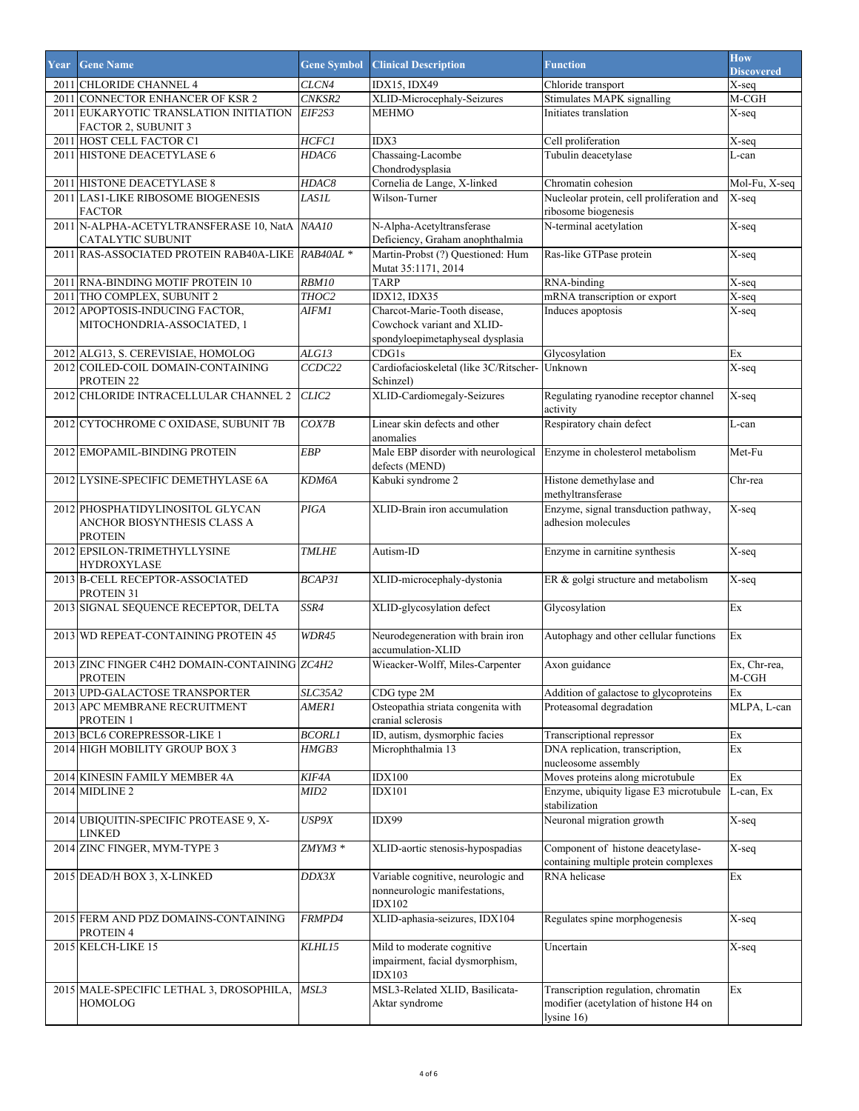| Year | <b>Gene Name</b>                                                                  | <b>Gene Symbol</b> | <b>Clinical Description</b>                                                                    | <b>Function</b>                                                                             | <b>How</b><br><b>Discovered</b> |
|------|-----------------------------------------------------------------------------------|--------------------|------------------------------------------------------------------------------------------------|---------------------------------------------------------------------------------------------|---------------------------------|
|      | 2011 CHLORIDE CHANNEL 4                                                           | CLCN4              | <b>IDX15, IDX49</b>                                                                            | Chloride transport                                                                          | X-seq                           |
|      | 2011 CONNECTOR ENHANCER OF KSR 2                                                  | CNKSR2             | XLID-Microcephaly-Seizures                                                                     | Stimulates MAPK signalling                                                                  | M-CGH                           |
|      | 2011 EUKARYOTIC TRANSLATION INITIATION<br><b>FACTOR 2, SUBUNIT 3</b>              | EIF2S3             | <b>MEHMO</b>                                                                                   | Initiates translation                                                                       | X-seq                           |
|      | 2011 HOST CELL FACTOR C1                                                          | <b>HCFC1</b>       | IDX3                                                                                           | Cell proliferation                                                                          | X-seq                           |
|      | 2011 HISTONE DEACETYLASE 6                                                        | HDAC6              | Chassaing-Lacombe<br>Chondrodysplasia                                                          | Tubulin deacetylase                                                                         | L-can                           |
|      | 2011 HISTONE DEACETYLASE 8                                                        | <i>HDAC8</i>       | Cornelia de Lange, X-linked                                                                    | Chromatin cohesion                                                                          | Mol-Fu, X-seq                   |
|      | 2011 LAS1-LIKE RIBOSOME BIOGENESIS<br><b>FACTOR</b>                               | LASIL              | Wilson-Turner                                                                                  | Nucleolar protein, cell proliferation and<br>ribosome biogenesis                            | X-seq                           |
|      | 2011 N-ALPHA-ACETYLTRANSFERASE 10, NatA NAA10<br>CATALYTIC SUBUNIT                |                    | N-Alpha-Acetyltransferase<br>Deficiency, Graham anophthalmia                                   | N-terminal acetylation                                                                      | X-seq                           |
| 2011 | RAS-ASSOCIATED PROTEIN RAB40A-LIKE RAB40AL *                                      |                    | Martin-Probst (?) Questioned: Hum<br>Mutat 35:1171, 2014                                       | Ras-like GTPase protein                                                                     | X-seq                           |
|      | 2011 RNA-BINDING MOTIF PROTEIN 10                                                 | <b>RBM10</b>       | <b>TARP</b>                                                                                    | RNA-binding                                                                                 | X-seq                           |
|      | 2011 THO COMPLEX, SUBUNIT 2                                                       | THOC2              | IDX12, IDX35                                                                                   | mRNA transcription or export                                                                | X-seq                           |
|      | 2012 APOPTOSIS-INDUCING FACTOR,<br>MITOCHONDRIA-ASSOCIATED, 1                     | AIFM1              | Charcot-Marie-Tooth disease,<br>Cowchock variant and XLID-<br>spondyloepimetaphyseal dysplasia | Induces apoptosis                                                                           | X-seq                           |
|      | 2012 ALG13, S. CEREVISIAE, HOMOLOG                                                | ALG13              | CDG1s                                                                                          | Glycosylation                                                                               | Еx                              |
|      | 2012 COILED-COIL DOMAIN-CONTAINING<br>PROTEIN <sub>22</sub>                       | CCDC22             | Cardiofacioskeletal (like 3C/Ritscher- Unknown<br>Schinzel)                                    |                                                                                             | $\overline{X}$ -seq             |
|      | 2012 CHLORIDE INTRACELLULAR CHANNEL 2                                             | CLIC <sub>2</sub>  | XLID-Cardiomegaly-Seizures                                                                     | Regulating ryanodine receptor channel<br>activity                                           | $\overline{X}$ -seq             |
|      | 2012 CYTOCHROME C OXIDASE, SUBUNIT 7B                                             | COX7B              | Linear skin defects and other<br>anomalies                                                     | Respiratory chain defect                                                                    | L-can                           |
|      | 2012 EMOPAMIL-BINDING PROTEIN                                                     | <b>EBP</b>         | Male EBP disorder with neurological Enzyme in cholesterol metabolism<br>defects (MEND)         |                                                                                             | Met-Fu                          |
|      | 2012 LYSINE-SPECIFIC DEMETHYLASE 6A                                               | KDM6A              | Kabuki syndrome 2                                                                              | Histone demethylase and<br>methyltransferase                                                | Chr-rea                         |
|      | 2012 PHOSPHATIDYLINOSITOL GLYCAN<br>ANCHOR BIOSYNTHESIS CLASS A<br><b>PROTEIN</b> | PIGA               | XLID-Brain iron accumulation                                                                   | Enzyme, signal transduction pathway,<br>adhesion molecules                                  | X-seq                           |
|      | 2012 EPSILON-TRIMETHYLLYSINE<br><b>HYDROXYLASE</b>                                | <b>TMLHE</b>       | Autism-ID                                                                                      | Enzyme in carnitine synthesis                                                               | X-seq                           |
|      | 2013 B-CELL RECEPTOR-ASSOCIATED<br>PROTEIN 31                                     | BCAP31             | XLID-microcephaly-dystonia                                                                     | ER & golgi structure and metabolism                                                         | $\overline{X}$ -seq             |
|      | 2013 SIGNAL SEQUENCE RECEPTOR, DELTA                                              | SSR4               | XLID-glycosylation defect                                                                      | Glycosylation                                                                               | Ex                              |
|      | 2013 WD REPEAT-CONTAINING PROTEIN 45                                              | WDR45              | Neurodegeneration with brain iron<br>accumulation-XLID                                         | Autophagy and other cellular functions                                                      | Ex                              |
|      | 2013 ZINC FINGER C4H2 DOMAIN-CONTAINING ZC4H2<br><b>PROTEIN</b>                   |                    | Wieacker-Wolff, Miles-Carpenter                                                                | Axon guidance                                                                               | Ex, Chr-rea,<br>$M-CGH$         |
|      | 2013 UPD-GALACTOSE TRANSPORTER                                                    | SLC35A2            | CDG type 2M                                                                                    | Addition of galactose to glycoproteins                                                      | Ex                              |
|      | 2013 APC MEMBRANE RECRUITMENT<br>PROTEIN 1                                        | AMERI              | Osteopathia striata congenita with<br>cranial sclerosis                                        | Proteasomal degradation                                                                     | MLPA, L-can                     |
| 2013 | <b>BCL6 COREPRESSOR-LIKE 1</b>                                                    | <b>BCORLI</b>      | ID, autism, dysmorphic facies                                                                  | Transcriptional repressor                                                                   | Ex                              |
|      | 2014 HIGH MOBILITY GROUP BOX 3                                                    | <i>HMGB3</i>       | Microphthalmia 13                                                                              | DNA replication, transcription,<br>nucleosome assembly                                      | Еx                              |
|      | 2014 KINESIN FAMILY MEMBER 4A                                                     | KIF4A              | <b>IDX100</b>                                                                                  | Moves proteins along microtubule                                                            | Еx                              |
|      | 2014 MIDLINE 2                                                                    | MID2               | <b>IDX101</b>                                                                                  | Enzyme, ubiquity ligase E3 microtubule<br>stabilization                                     | L-can, Ex                       |
|      | 2014 UBIQUITIN-SPECIFIC PROTEASE 9, X-<br>LINKED                                  | USP9X              | IDX99                                                                                          | Neuronal migration growth                                                                   | X-seq                           |
|      | 2014 ZINC FINGER, MYM-TYPE 3                                                      | ZMYM3 *            | XLID-aortic stenosis-hypospadias                                                               | Component of histone deacetylase-<br>containing multiple protein complexes                  | X-seq                           |
|      | 2015 DEAD/H BOX 3, X-LINKED                                                       | DDX3X              | Variable cognitive, neurologic and<br>nonneurologic manifestations,<br><b>IDX102</b>           | RNA helicase                                                                                | $\mathop{\textrm{Ex}}$          |
|      | 2015 FERM AND PDZ DOMAINS-CONTAINING<br>PROTEIN 4                                 | FRMPD4             | XLID-aphasia-seizures, IDX104                                                                  | Regulates spine morphogenesis                                                               | X-seq                           |
|      | 2015 KELCH-LIKE 15                                                                | KLHL15             | Mild to moderate cognitive<br>impairment, facial dysmorphism,<br><b>IDX103</b>                 | Uncertain                                                                                   | X-seq                           |
|      | 2015 MALE-SPECIFIC LETHAL 3, DROSOPHILA,<br><b>HOMOLOG</b>                        | MSL3               | MSL3-Related XLID, Basilicata-<br>Aktar syndrome                                               | Transcription regulation, chromatin<br>modifier (acetylation of histone H4 on<br>lysine 16) | Ex                              |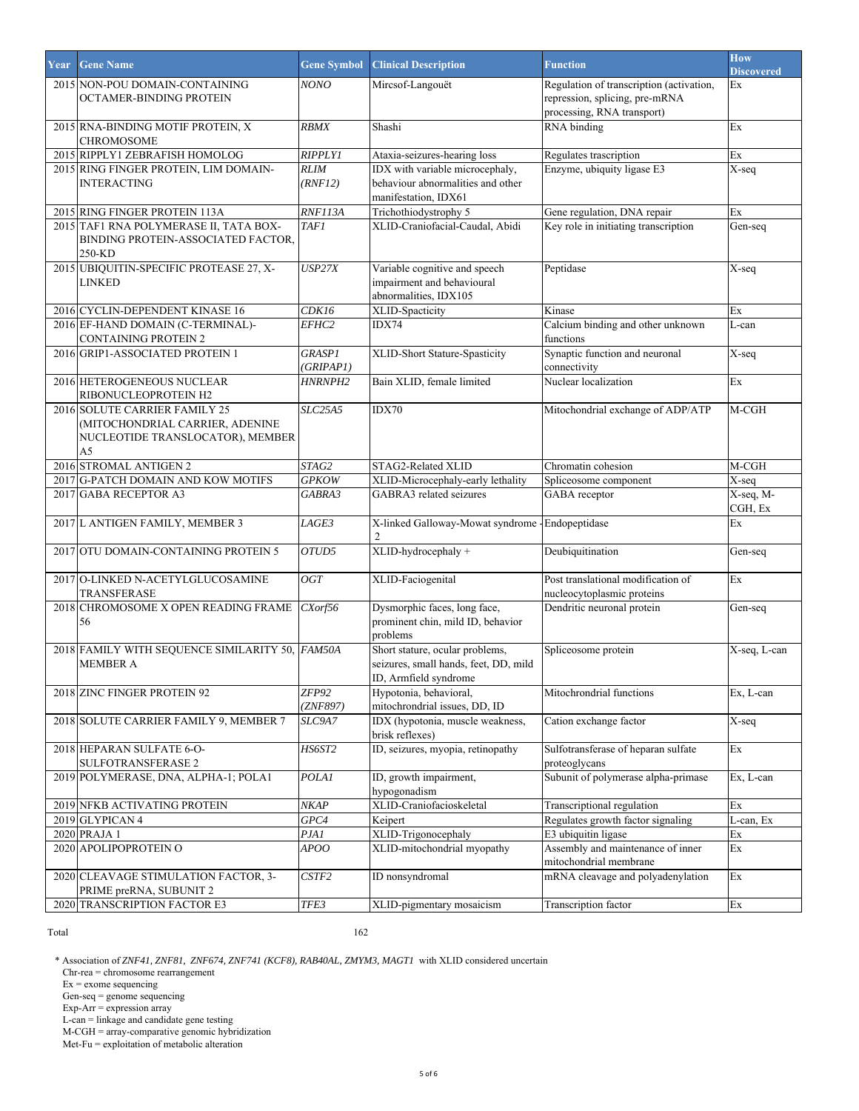| Year | <b>Gene Name</b>                                                                                           | <b>Gene Symbol</b>         | <b>Clinical Description</b>                                                                       | <b>Function</b>                                                                                          | How<br><b>Discovered</b>        |
|------|------------------------------------------------------------------------------------------------------------|----------------------------|---------------------------------------------------------------------------------------------------|----------------------------------------------------------------------------------------------------------|---------------------------------|
|      | 2015 NON-POU DOMAIN-CONTAINING<br>OCTAMER-BINDING PROTEIN                                                  | NONO                       | Mircsof-Langouët                                                                                  | Regulation of transcription (activation,<br>repression, splicing, pre-mRNA<br>processing, RNA transport) | Ex                              |
|      | 2015 RNA-BINDING MOTIF PROTEIN, X<br>CHROMOSOME                                                            | <b>RBMX</b>                | Shashi                                                                                            | RNA binding                                                                                              | Ex                              |
|      | 2015 RIPPLY1 ZEBRAFISH HOMOLOG                                                                             | <b>RIPPLY1</b>             | Ataxia-seizures-hearing loss                                                                      | Regulates trascription                                                                                   | Ex                              |
|      | 2015 RING FINGER PROTEIN, LIM DOMAIN-<br><b>INTERACTING</b>                                                | <b>RLIM</b><br>(RNF12)     | IDX with variable microcephaly,<br>behaviour abnormalities and other<br>manifestation, IDX61      | Enzyme, ubiquity ligase E3                                                                               | X-seq                           |
|      | 2015 RING FINGER PROTEIN 113A                                                                              | RNF113A                    | Trichothiodystrophy 5                                                                             | Gene regulation, DNA repair                                                                              | Ex                              |
|      | 2015 TAF1 RNA POLYMERASE II, TATA BOX-<br>BINDING PROTEIN-ASSOCIATED FACTOR,<br>250-KD                     | <b>TAF1</b>                | XLID-Craniofacial-Caudal, Abidi                                                                   | Key role in initiating transcription                                                                     | Gen-seq                         |
|      | 2015 UBIQUITIN-SPECIFIC PROTEASE 27, X-<br>LINKED                                                          | USP27X                     | Variable cognitive and speech<br>impairment and behavioural<br>abnormalities, IDX105              | Peptidase                                                                                                | X-seq                           |
|      | 2016 CYCLIN-DEPENDENT KINASE 16                                                                            | CDK16                      | XLID-Spacticity                                                                                   | Kinase                                                                                                   | Ex                              |
|      | 2016 EF-HAND DOMAIN (C-TERMINAL)-<br><b>CONTAINING PROTEIN 2</b>                                           | EFHC <sub>2</sub>          | IDX74                                                                                             | Calcium binding and other unknown<br>functions                                                           | L-can                           |
|      | 2016 GRIP1-ASSOCIATED PROTEIN 1                                                                            | <b>GRASP1</b><br>(GRIPAPI) | XLID-Short Stature-Spasticity                                                                     | Synaptic function and neuronal<br>connectivity                                                           | X-seq                           |
|      | 2016 HETEROGENEOUS NUCLEAR<br>RIBONUCLEOPROTEIN H2                                                         | HNRNPH2                    | Bain XLID, female limited                                                                         | Nuclear localization                                                                                     | Ex                              |
|      | 2016 SOLUTE CARRIER FAMILY 25<br>(MITOCHONDRIAL CARRIER, ADENINE<br>NUCLEOTIDE TRANSLOCATOR), MEMBER<br>A5 | <b>SLC25A5</b>             | IDX70                                                                                             | Mitochondrial exchange of ADP/ATP                                                                        | $M-CGH$                         |
|      | 2016 STROMAL ANTIGEN 2                                                                                     | STAG2                      | STAG2-Related XLID                                                                                | Chromatin cohesion                                                                                       | $M-CGH$                         |
|      | 2017 G-PATCH DOMAIN AND KOW MOTIFS                                                                         | <b>GPKOW</b>               | XLID-Microcephaly-early lethality                                                                 | Spliceosome component                                                                                    | X-seq                           |
|      | 2017 GABA RECEPTOR A3                                                                                      | GABRA3                     | GABRA3 related seizures                                                                           | GABA receptor                                                                                            | X-seq, M-<br>CGH, Ex            |
|      | 2017 L ANTIGEN FAMILY, MEMBER 3                                                                            | LAGE3                      | X-linked Galloway-Mowat syndrome<br>2                                                             | Endopeptidase                                                                                            | Ex                              |
|      | 2017 OTU DOMAIN-CONTAINING PROTEIN 5                                                                       | OTUD5                      | XLID-hydrocephaly +                                                                               | Deubiquitination                                                                                         | Gen-seq                         |
|      | 2017 O-LINKED N-ACETYLGLUCOSAMINE<br>TRANSFERASE                                                           | OGT                        | XLID-Faciogenital                                                                                 | Post translational modification of<br>nucleocytoplasmic proteins                                         | Ex                              |
|      | 2018 CHROMOSOME X OPEN READING FRAME<br>56                                                                 | CXorf56                    | Dysmorphic faces, long face,<br>prominent chin, mild ID, behavior<br>problems                     | Dendritic neuronal protein                                                                               | Gen-seq                         |
|      | 2018 FAMILY WITH SEQUENCE SIMILARITY 50, FAM50A<br><b>MEMBER A</b>                                         |                            | Short stature, ocular problems,<br>seizures, small hands, feet, DD, mild<br>ID, Armfield syndrome | Spliceosome protein                                                                                      | X-seq, L-can                    |
|      | 2018 ZINC FINGER PROTEIN 92                                                                                | ZFP92<br>(ZNF897)          | Hypotonia, behavioral,<br>mitochrondrial issues, DD, ID                                           | Mitochrondrial functions                                                                                 | Ex, L-can                       |
|      | 2018 SOLUTE CARRIER FAMILY 9, MEMBER 7                                                                     | SLC9A7                     | IDX (hypotonia, muscle weakness,<br>brisk reflexes)                                               | Cation exchange factor                                                                                   | X-seq                           |
|      | 2018 HEPARAN SULFATE 6-O-<br>SULFOTRANSFERASE 2                                                            | HS6ST2                     | ID, seizures, myopia, retinopathy                                                                 | Sulfotransferase of heparan sulfate<br>proteoglycans                                                     | $\mathop{\textrm{Ex}}\nolimits$ |
|      | 2019 POLYMERASE, DNA, ALPHA-1; POLA1                                                                       | <b>POLA1</b>               | ID, growth impairment,<br>hypogonadism                                                            | Subunit of polymerase alpha-primase                                                                      | Ex, L-can                       |
|      | 2019 NFKB ACTIVATING PROTEIN                                                                               | <b>NKAP</b>                | XLID-Craniofacioskeletal                                                                          | Transcriptional regulation                                                                               | $\mathop{\textrm{Ex}}\nolimits$ |
|      | 2019 GLYPICAN 4                                                                                            | GPC4                       | Keipert                                                                                           | Regulates growth factor signaling                                                                        | L-can, Ex                       |
|      | 2020 PRAJA 1                                                                                               | PJA1                       | XLID-Trigonocephaly                                                                               | E3 ubiquitin ligase                                                                                      | Ex                              |
|      | 2020 APOLIPOPROTEIN O                                                                                      | APOO                       | XLID-mitochondrial myopathy                                                                       | Assembly and maintenance of inner<br>mitochondrial membrane                                              | Ex                              |
|      | 2020 CLEAVAGE STIMULATION FACTOR, 3-<br>PRIME preRNA, SUBUNIT 2                                            | CSTF2                      | ID nonsyndromal                                                                                   | mRNA cleavage and polyadenylation                                                                        | Ex                              |
|      | 2020 TRANSCRIPTION FACTOR E3                                                                               | TFE3                       | XLID-pigmentary mosaicism                                                                         | Transcription factor                                                                                     | $\mathop{\textrm{Ex}}\nolimits$ |

Total 162

\* Association of *ZNF41, ZNF81, ZNF674, ZNF741 (KCF8), RAB40AL, ZMYM3, MAGT1* with XLID considered uncertain

Chr-rea = chromosome rearrangement

Ex = exome sequencing

Gen-seq = genome sequencing

Exp-Arr = expression array

L-can = linkage and candidate gene testing

M-CGH = array-comparative genomic hybridization

Met-Fu = exploitation of metabolic alteration